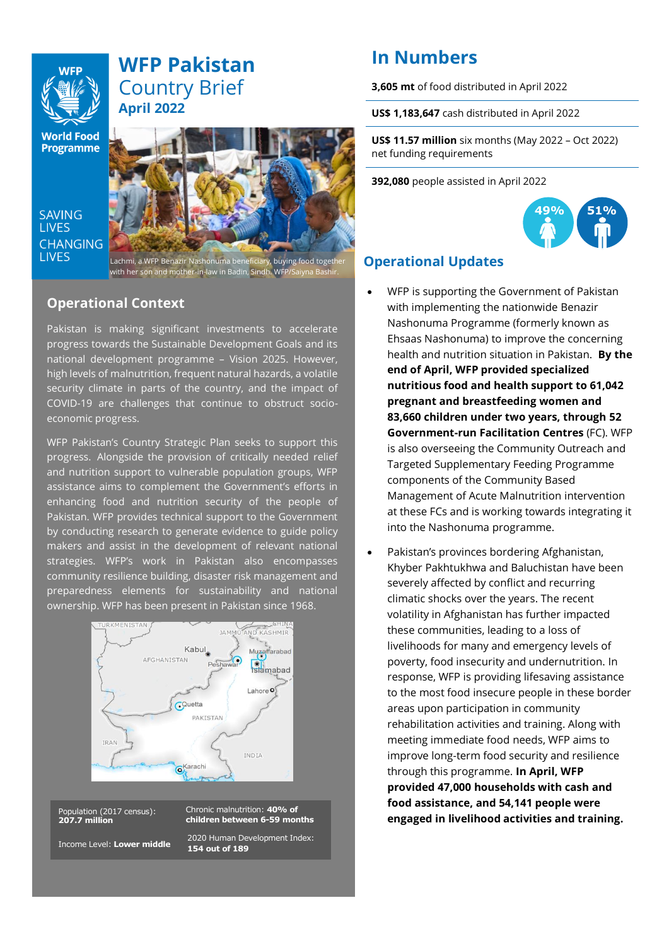# **WFP Pakistan** Country Brief **April 2022**

**World Food** Programme

**SAVING LIVES CHANGING LIVES** 



Lachmi, a WFP Benazir Nashonuma beneficiary, buying food together with her son and mother-in-law in Badin, Sindh. WFP/Saiyna Bashir.

### **Operational Context**

Pakistan is making significant investments to accelerate progress towards the Sustainable Development Goals and its national development programme – Vision 2025. However, high levels of malnutrition, frequent natural hazards, a volatile security climate in parts of the country, and the impact of COVID-19 are challenges that continue to obstruct socioeconomic progress.

WFP Pakistan's Country Strategic Plan seeks to support this progress. Alongside the provision of critically needed relief and nutrition support to vulnerable population groups, WFP assistance aims to complement the Government's efforts in enhancing food and nutrition security of the people of Pakistan. WFP provides technical support to the Government by conducting research to generate evidence to guide policy makers and assist in the development of relevant national strategies. WFP's work in Pakistan also encompasses community resilience building, disaster risk management and preparedness elements for sustainability and national ownership. WFP has been present in Pakistan since 1968.



Population (2017 census): **207.7 million**

Chronic malnutrition: **40% of children between 6-59 months** 2020 Human Development Index:

**154 out of 189**

Income Level: **Lower middle**

# **In Numbers**

**3,605 mt** of food distributed in April 2022

**US\$ 1,183,647** cash distributed in April 2022

**US\$ 11.57 million** six months (May 2022 – Oct 2022) net funding requirements

**392,080** people assisted in April 2022



## **Operational Updates**

- WFP is supporting the Government of Pakistan with implementing the nationwide Benazir Nashonuma Programme (formerly known as Ehsaas Nashonuma) to improve the concerning health and nutrition situation in Pakistan. **By the end of April, WFP provided specialized nutritious food and health support to 61,042 pregnant and breastfeeding women and 83,660 children under two years, through 52 Government-run Facilitation Centres** (FC). WFP is also overseeing the Community Outreach and Targeted Supplementary Feeding Programme components of the Community Based Management of Acute Malnutrition intervention at these FCs and is working towards integrating it into the Nashonuma programme.
- Pakistan's provinces bordering Afghanistan, Khyber Pakhtukhwa and Baluchistan have been severely affected by conflict and recurring climatic shocks over the years. The recent volatility in Afghanistan has further impacted these communities, leading to a loss of livelihoods for many and emergency levels of poverty, food insecurity and undernutrition. In response, WFP is providing lifesaving assistance to the most food insecure people in these border areas upon participation in community rehabilitation activities and training. Along with meeting immediate food needs, WFP aims to improve long-term food security and resilience through this programme. **In April, WFP provided 47,000 households with cash and food assistance, and 54,141 people were engaged in livelihood activities and training.**